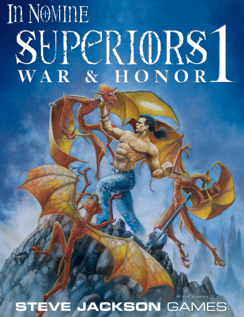# **In NOMINE** SUPCRIORS1 WAR & HONOR.

**STEVE JACKSON** GAMES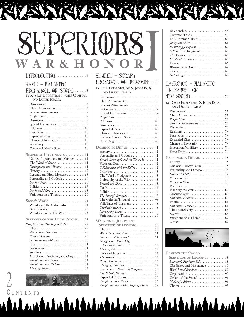# SHPPRIORS W A R & H O N O R I

#### INTRODUCTION ..........................4

# **JAVID – HALAKITE**

HRCHANGEL OF STONE ....... BY R. SEAN BORGSTROM, JAMES CAMBIAS, AND DEREK PEARCY Dissonance . . . . . . . . . . . . . . . . . . . . . . . . . . 6

| Expanded Rites  10                                                   |
|----------------------------------------------------------------------|
|                                                                      |
| Secret Songs 10                                                      |
| Common Malakite Oaths  10                                            |
| <b>SHAPER OF CONTINENTS 11</b>                                       |
| Names, Appearance, and Manner  11                                    |
| The Word of Stone  11                                                |
| Earthquakes and Volcanoes 11                                         |
| $History \ldots \ldots \ldots \ldots \ldots \ldots \ldots \ldots 12$ |
| Legends and Holy Mysteries  13                                       |
| Personality and Outlook  14                                          |
| David's Oaths  16                                                    |
|                                                                      |
| David and Marc  18                                                   |
| Variations on a Theme 20                                             |
| Stone's World 21                                                     |
| Wonders of the Catacombs 21                                          |
| David's Tethers 22                                                   |
| Wonders Under The World 23                                           |
| <b>SERVANTS OF THE LIVING STONE 24</b>                               |
| Sample Tether: The Impact Tether 24                                  |
|                                                                      |
| Word-Bound Servitors 25                                              |
| Frozen Malakim 28                                                    |
| Skinheads and Militias? 30                                           |
|                                                                      |
| Geomancers 31                                                        |
|                                                                      |
| Associations, Societies, and Gangs  33                               |
| Sample Servitor: Salem 33                                            |
| Sample Servitor: Joshiro 34                                          |
| Modes of Address 35                                                  |

**C ONTENTS**

 $\bigvee$ 

| <u>and the second part of the second part of the second part of the second part of the second part of the second part of the second part of the second part of the second part of the second part of the second part of the seco</u> |
|--------------------------------------------------------------------------------------------------------------------------------------------------------------------------------------------------------------------------------------|
| JOMINIC – SERAPFI                                                                                                                                                                                                                    |
| FIRCFIANSEL OF JUDSMENT  36                                                                                                                                                                                                          |
| BY ELIZABETH MCCOY, S. JOHN ROSS,<br>AND DEREK PEARCY                                                                                                                                                                                |
|                                                                                                                                                                                                                                      |
| Servitor Attunements 38                                                                                                                                                                                                              |
| Distinctions $\ldots \ldots \ldots \ldots \ldots \ldots \ldots$ 39                                                                                                                                                                   |
| Special Distinctions 39                                                                                                                                                                                                              |
| Bright Lilim 39                                                                                                                                                                                                                      |
| Basic Rites  40                                                                                                                                                                                                                      |
| Expanded Rites  40                                                                                                                                                                                                                   |
| Chance of Invocation  40<br>Common Malakite Oaths  40                                                                                                                                                                                |
| Secret Songs  40                                                                                                                                                                                                                     |
| DOMINIC IN DETAIL 41                                                                                                                                                                                                                 |
|                                                                                                                                                                                                                                      |
| Personality and Outlook  41                                                                                                                                                                                                          |
| Seraph Archangels and the TRUTH  41<br>Views on God  42                                                                                                                                                                              |
| Collaboration with the Fallen 42                                                                                                                                                                                                     |
|                                                                                                                                                                                                                                      |
| The Word of Judgment  43<br>Philosophy of the War  43                                                                                                                                                                                |
| Beneath the Cloak 43                                                                                                                                                                                                                 |
|                                                                                                                                                                                                                                      |
| The Enemy's Servants 47                                                                                                                                                                                                              |
| The Celestial Tribunal  48                                                                                                                                                                                                           |
| Folk Tales of Judgment  48                                                                                                                                                                                                           |
| Dominic's Tethers  48<br>Nuremberg Tether  49                                                                                                                                                                                        |
| Variations on a Theme 50                                                                                                                                                                                                             |
| <b>WALKING IN JUDGMENT:</b>                                                                                                                                                                                                          |
| <b>SERVITORS OF DOMINIC 50</b>                                                                                                                                                                                                       |
| Word-Bound Servitors 51                                                                                                                                                                                                              |
| Humans and Judgment 51                                                                                                                                                                                                               |
| "Forgive me, Most Holy,                                                                                                                                                                                                              |
| Modes of Address 52                                                                                                                                                                                                                  |
| Duties of Judgment $\dots\dots\dots\dots\dots\dots$ 53                                                                                                                                                                               |
| The Redeemed $\,\ldots\ldots\ldots\ldots\ldots\ldots\ldots\,53$                                                                                                                                                                      |
| Being Dominican 53                                                                                                                                                                                                                   |
| Changing Superiors 54<br>Creationers In Service To Judgment  55                                                                                                                                                                      |
| Law School: Trainees 55                                                                                                                                                                                                              |
| Expanded Relations 56                                                                                                                                                                                                                |
| Sample Servitor: Zadok 56<br>Sample Servitor: Mihr, Angel of Mercy 57                                                                                                                                                                |

<u>tudi dalam kalendalah dalam kalendar</u>

| Relationships $\ldots \ldots \ldots \ldots \ldots \ldots \ldots 58$            |
|--------------------------------------------------------------------------------|
|                                                                                |
| Less Common Triads $\dots\dots\dots\dots\dots \dots$ 60                        |
|                                                                                |
| Identifying Judgment 62                                                        |
|                                                                                |
|                                                                                |
|                                                                                |
|                                                                                |
|                                                                                |
|                                                                                |
| $Outcasting \ldots \ldots \ldots \ldots \ldots \ldots \ldots \ldots \ldots 69$ |
|                                                                                |

#### LAURENCE – HALAKITE HRChAngel OF the Sword . . . . . . . . . . . . . . . . . . . . . 70 BY DAVID EDELSTEIN, S. JOHN ROSS, AND DEREK PEARCY Dissonance . . . . . . . . . . . . . . . . . . . . . . . . . 71 Choir Attunements . . . . . . . . . . . . . . . . . . 71 *Bright Lilim* . . . . . . . . . . . . . . . . . . . . . . . . 72 Servitor Attunements . . . . . . . . . . . . . . . 73 Distinctions . . . . . . . . . . . . . . . . . . . . . . . . 73 Relations . . . . . . . . . . . . . . . . . . . . . . . . . . 74 Basic Rites . . . . . . . . . . . . . . . . . . . . . . . . . 74 Expanded Rites . . . . . . . . . . . . . . . . . . . . . 74 Chance of Invocation . . . . . . . . . . . . . . . . 74 Invocation Modifiers . . . . . . . . . . . . . . . . 74 *Secret Songs* . . . . . . . . . . . . . . . . . . . . . . . . . 74 **LAURENCE IN DETAIL** . . . . . . . . . . . . . . . 75 History . . . . . . . . . . . . . . . . . . . . . . . . . . . . 75 *Common Malakite Oaths* . . . . . . . . . . . . . . 75 Personality and Outlook . . . . . . . . . . . . . . 76 *Laurence's Oaths* . . . . . . . . . . . . . . . . . . . . . 77 Views on God . . . . . . . . . . . . . . . . . . . . . . 78 Views on Man . . . . . . . . . . . . . . . . . . . . . . 78 Priorities . . . . . . . . . . . . . . . . . . . . . . . . . . 78 Planning the War . . . . . . . . . . . . . . . . . 80 *Catholic Angels* . . . . . . . . . . . . . . . . . . . . . . 80 *Laurence's Failures* . . . . . . . . . . . . . . . . . . . 80 Politics . . . . . . . . . . . . . . . . . . . . . . . . . . . . 81 *Laurence's Victories* . . . . . . . . . . . . . . . . . . . 81 The Eternal City . . . . . . . . . . . . . . . . . . . . 86 *Exorcists* . . . . . . . . . . . . . . . . . . . . . . . . . . . 86 Variations on a Theme .................. 87 *Tethers* . . . . . . . . . . . . . . . . . . . . . . . . . . . . . 87



**BEARING THE SWORD: SERVITORS OF LAURENCE** . . . . . . . . . . 88 *Laurence's Feminine Side* . . . . . . . . . . . . . . 88 Obedience and Dissonance . . . . . . . . . . . 89 *Word-Bound Servitors* . . . . . . . . . . . . . . . . . 89 Organization . . . . . . . . . . . . . . . . . . . . . . . 90 Orders of the Sword . . . . . . . . . . . . . . . . . 91 *Modes of Address* . . . . . . . . . . . . . . . . . . . . . 91 Choirs . . . . . . . . . . . . . . . . . . . . . . . . . . . . 93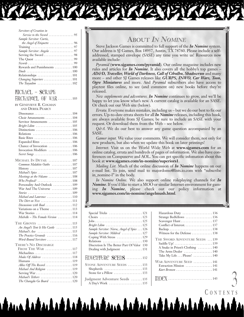| Servitors of Creation in                                  |
|-----------------------------------------------------------|
| Service to the Sword $\ldots \ldots \ldots \ldots \ldots$ |
| Sample Servitor: Curtis,                                  |
| the Angel of Etiquette 96                                 |
|                                                           |
| Sample Servitor: Angela 97                                |
|                                                           |
| The Quest $\dots\dots\dots\dots\dots\dots\dots\dots99$    |
|                                                           |
| Rewards and Punishments  100                              |
|                                                           |
| Relationships  101                                        |
| Changing Superiors  101                                   |
| The Tsayadim  102                                         |

#### Michael – Seraph

Archangel of War . . . . . . . . . 103

| by Genevieve R. Cogman |  |
|------------------------|--|
| um Deper Deidor        |  |

| AND DEREK PEARCY                                                                                                                                                                                                                                                                                                                                 |  |
|--------------------------------------------------------------------------------------------------------------------------------------------------------------------------------------------------------------------------------------------------------------------------------------------------------------------------------------------------|--|
| Choir Attunements  104<br>Servitor Attunements  105<br>Bright Lilim $\ldots \ldots \ldots \ldots \ldots \ldots \ldots 105$<br>Basic Rites  106<br>Expanded Rites  106<br>Chance of Invocation  106<br>Invocation Modifiers  106<br>Secret Songs  106                                                                                             |  |
| MICHAEL IN DETAIL  107<br>Common Malakite Oaths  107<br>Michael's Spies  107<br>Meetings at the Volcano 108<br>Who Profited? 108<br>Personality And Outlook  109<br>War And The Universe  109<br>Michael and Laurence 110<br>Discussions with Baal 112<br>Variations on a Theme  113<br>War Stories 114<br>$Michelle - The Female Version   114$ |  |
| THE GROVES 115<br>An Angel's Tent Is His Castle  115<br>Michael's Axe 115<br>The Practice Grounds 116<br>Word-Bound Servitors 117<br><b>THERE'S NO DISCHARGE</b>                                                                                                                                                                                 |  |
| FROM THE WAR 117<br>Modes Of Address 118<br>Humans 119<br>Allies Off The Record 119<br>Michael And Religion 119<br>Serving War  120<br>Michael's Tethers  120<br>The Changdu Go Board 120                                                                                                                                                        |  |

# **ABOUT** *IN NOMINE*

Steve Jackson Games is committed to full support of the *In Nomine* system. Our address is SJ Games, Box 18957, Austin, TX 78760. Please include a selfaddressed, stamped envelope (SASE) any time you write us! Resources now available include:

*Pyramid* (**<www.sjgames.com/pyramid>**)*.* Our online magazine includes new rules and articles for *In Nomine*. It also covers all the hobby's top games – *AD&D, Traveller, World of Darkness, Call of Cthulhu, Shadowrun* and many more – and other SJ Games releases like *GURPS, INWO, Car Wars, Toon, Ogre Miniatures* and more. And *Pyramid* subscribers also have access to playtest files online, to see (and comment on) new books before they're released.

*New supplements and adventures. In Nomine* continues to grow, and we'll be happy to let you know what's new. A current catalog is available for an SASE. Or check out our Web site (below).

*Errata.* Everyone makes mistakes, including us – but we do our best to fix our errors. Up-to-date errata sheets for all *In Nomine* releases, including this book, are always available from SJ Games; be sure to include an SASE with your request. Or download them from the Web – see below.

*Q&A*. We do our best to answer any game question accompanied by an SASE.

*Gamer input.* We value your comments. We will consider them, not only for new products, but also when we update this book on later printings!

*Internet.* Visit us on the World Wide Web at **<www.sjgames.com>** for an online catalog, errata and hundreds of pages of information. We also have conferences on Compuserve and AOL. You can get specific infomation about this book at **<www.sjgames.com/in-nomine/superiors1>**.

*Mailing List.* Much of the online discussion of *In Nomine* happens on our e-mail list. To join, send mail to majordomo@lists.io.com with "subscribe in nomine-l" in the body.

*In Nomine Online.* We also support online roleplaying channels for *In Nomine*. If you'd like to start a MOO or similar Internet environment for gaming *In Nomine*, please check out our policy information at **<www.sjgames.com/in-nomine/angelmush.html>**.

| Bright Lilim  125                                                     |
|-----------------------------------------------------------------------|
| Sample Servitor: Nisroc, Angel of Spies 126                           |
| Sample Servitor: Mildred  127                                         |
| Coping With Stress  129                                               |
| Relations 130                                                         |
| Discretion Is The Better Part Of Valor 130                            |
| Dealing with Judgment  131                                            |
| HDVCNTURC SCEDS 132                                                   |
| <b>STONE ADVENTURE SEEDS</b> 133                                      |
| Shepherds $\dots \dots \dots \dots \dots \dots \dots \dots \dots 133$ |
|                                                                       |
| Judgment Adventure Seeds  135                                         |
|                                                                       |

A Day's Work . . . . . . . . . . . . . . . . . . . . . 135

ur Latarlat latar latar Latar Latar Latar

| Conflict of Interest. 137         |
|-----------------------------------|
|                                   |
| Witness for the Defense  138      |
| THE SWORD ADVENTURE SEEDS  139    |
|                                   |
| A Snake in Priest's Clothing  140 |
| The Arms Dealer  140              |
| Take My Life Please! 140          |
| WAR ADVENTURE SEED  141           |
| Extraction Mission  141           |
| Kurt Brensen 141                  |
|                                   |

**C ONTENTS**

 $\mathcal{A}_{\mathbf{1}}$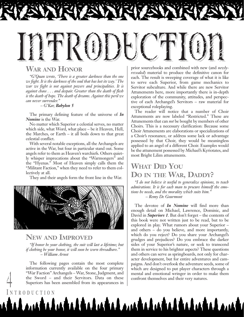# Introduction

# **WAR AND HONOR**

*"G'Quan wrote, 'There is a greater darkness than the one we fight. It is the darkness of the soul that has lost its way.' The war we fight is not against powers and principalities. It is against chaos . . . and despair. Greater than the death of flesh is the death of hope. The death of dreams. Against this peril we can never surrender."*

*– G'Kar, Babylon 5*

The primary defining feature of the universe of *In Nomine* is the War.

No matter which Superior a celestial serves, no matter which side, what Word, what place – be it Heaven, Hell, the Marches, or Earth – it all boils down to that great celestial conflict.

With several notable exceptions, all the Archangels are active in the War, but four in particular stand out. Some angels refer to them as Heaven's warchiefs. Others quietly whisper imprecations about the "Warmongers" and the "Hyenas." Most of Heaven simply calls them the "Militant Faction," when they need to refer to them collectively at all.

They and their angels form the front line in the War.



#### **NEW AND IMPROVED**

*"If honor be your clothing, the suit will last a lifetime; but if clothing be your honor, it will soon be worn threadbare." – William Arnot*

The following pages contain the most complete information currently available on the four primary "War Faction" Archangels – War, Stone, Judgment, and the Sword – and their Servitors. Data on these confront themselves and their very natures.<br>
Superiors has been assembled from its appearances in Superiors has been assembled from its appearances in

prior sourcebooks and combined with new (and *newlyrevealed*) material to produce the definitive canon for each. The result is sweeping coverage of what it is like to serve each Superior, from game mechanics to Servitor subculture. And while there are new Servitor Attunements here, more importantly there is in-depth exploration of the community, attitudes, and perspective of each Archangel's Servitors – raw material for exceptional roleplaying.

The reader will notice that a number of Choir Attunements are now labeled "Restricted." These are Attunements that can *not* be bought by members of other Choirs. This is a necessary clarification: Because some Choir Attunements are elaborations or specializations of a Choir's resonance, or address some lack or advantage possessed by that Choir, they would be meaningless applied to an angel of a different Choir. Examples would be the attunement possessed by Michael's Kyriotates, and most Bright Lilim attunements.

# **WHAT DID YOU DO IN THE WAR, DADDY?**

*"I do not believe it useful to generalize opinions, to teach admirations. It is for each man to procure himself the emotions he needs, and the morality which suits him." – Remy De Gourmont*

The devotee of *In Nomine* will find more than enough detail on Michael, Lawrence, Dominic, and David in *Superiors 1*. But don't forget – the contents of this book were not written just to be read, but to be explored in play. What rumors about your Superior – and others – do you believe, and more importantly, which do you reject? Do you share your Archangel's grudges and prejudices? Do you embrace the darker sides of your Superior's nature, or seek to transcend them in service to his brighter aspects? These questions and others can serve as springboards, not only for character development, but for entire adventures and campaigns. And don't overlook the adventure seeds, some of which are designed to put player characters through a mental and emotional wringer in order to make them

#### **I NTRODUCTION**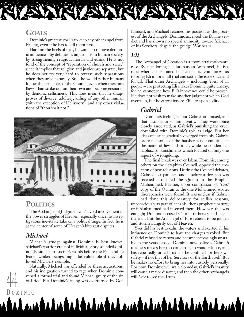#### **GOALS**

Dominic's greatest goal is to keep any other angel from Falling, even if he has to kill them first.

Hard on the heels of that, he wants to remove demonic influence – by definition, unjust – from human society, by strengthening religious morals and ethics. He is not fond of the concept of "separation of church and state," since it implies that religion and justice are separate, but he does not try very hard to reverse such separations when they arise naturally. Still, he would rather humans follow the principles of the Church, even when there are flaws, than strike out on their own and become ensnared by demonic selfishness. This does mean that he disapproves of divorce, adultery, killing of any other human (with the exception of Hellsworn), and any other violations of "thou shalt not."



#### **POLITICS**

The Archangel of Judgment can't avoid involvement in the power struggles of Heaven, especially since his investigations inevitably take on a political tinge. In fact, he is at the center of some of Heaven's bitterest disputes.

#### *Michael*

**D OMINIC**

Michael's grudge against Dominic is best known. Michael's warrior ethic of individual glory sounded ominously similar to Lucifer's words before the Fall, and he feared weaker beings might be vulnerable if they followed Michael's example.

Naturally, Michael was offended by these accusations, and his indignation turned to rage when Dominic convened a formal trial and found Michael guilty of the sin **of Pride.** But Dominic's ruling was overturned by God will *have* to see the Truth.

<u>talamatalantalitakan ambalantalitakan am</u>

Himself, and Michael retained his position as the greatest of the Archangels. Dominic accepted the Divine verdict and has shown no special animosity toward Michael or his Servitors, despite the grudge War bears.

# *Eli*

The Archangel of Creation is a more straightforward case. By abandoning his duties as an Archangel, Eli is a rebel whether he's joined Lucifer or not. Dominic wants to bring Eli in for a full trial and settle the issue once and for all. That other Archangels – including Yves, of all people – are protecting Eli makes Dominic quite uneasy, for he cannot see how Eli's innocence could be proven. He does not wish to make another judgment which God overrules, but he *cannot* ignore Eli's irresponsibility.

#### *Gabriel*

Dominic's feelings about Gabriel are mixed, and that also disturbs him greatly. They were once closely associated, as Gabriel's punishing the cruel dovetailed with Dominic's role as judge. But her ideas of justice gradually diverged from his; Gabriel protested some of the harsher acts committed in the name of law and order, while he condemned haphazard punishments which focused on only one aspect of wrongdoing.

The final break was over Islam. Dominic, among others on the Seraphim Council, opposed the creation of new religions. During the Council debates, Gabriel lost patience and – before a decision was reached – dictated the Qu'ran to the Prophet Muhammed. Further, upon comparison of Yves' copy of the Qu'ran to the one Muhammed wrote, discrepancies were found. It was unclear if Gabriel

had done this deliberately for selfish reasons, unconsciously as part of her (his, then) prophetic nature, or if Muhammed had inserted them. However, this was enough; Dominic accused Gabriel of heresy and began the trial. But the Archangel of Fire refused to be judged and stormed angrily out of Heaven.

Yves did his best to calm the waters and exerted all his influence on Dominic to have the charges revoked. But Gabriel refused to return and became increasingly unstable as the years passed. Dominic now believes Gabriel's madness makes her too dangerous to wander loose, and has repeatedly urged that she be confined for her own safety – if not that of her Servitors or the Earth itself. But he makes no effort to bring her into custody personally. For now, Dominic will wait. Someday, Gabriel's insanity will cause a major disaster, and then the other Archangels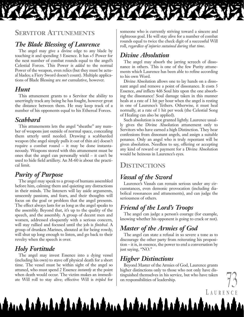

## **SERVITOR ATTUNEMENTS**

# *The Blade Blessing of Laurence*

The angel may give a divine edge to any blade by touching it and spending 3 Essence. It has +5 Power for the next number of combat rounds equal to the angel's Celestial Forces. This Power is *added* to the normal Power of the weapon, even relics (but they must be actual blades; a Fiery Sword doesn't count). Multiple applications of Blade Blessing are *not* cumulative, however.

#### *Hunt*

This attunement grants to a Servitor the ability to unerringly track any being he has fought, however great the distance between them. He may keep track of a number of his opponents equal to his Ethereal Forces.

#### *Scabbard*

This attunements lets the angel "sheathe" any number of weapons just outside of normal space, concealing them utterly until needed. Drawing a scabbarded weapon (the angel simply pulls it out of thin air) doesn't require a combat round – it may be done instantaneously. Weapons stored with this attunement must be ones that the angel can personally wield – it can't be used to hide field artillery. An M-60 is about the practical limit.

## *Purity of Purpose*

The angel may speak to a group of humans assembled before him, calming them and quieting any distractions in their minds. The listeners will lay aside arguments, unseemly passions, and fears, and their thoughts will focus on the goal or problem that the angel presents. The effect always lasts for as long as the angel speaks to the assembly. Beyond that, it's up to the quality of the speech, and the assembly. A group of decent men and women, addressed eloquently with a serious concern, will stay rallied and focused until the job is *finished*. A group of drunken Marines, shouted at for being rowdy, will shut up long enough to listen, and go back to their revelry when the speech is over.

# *Holy Fortitude*

The angel may invest Essence into a dying vessel (including his own) to stave off physical death for a short time. The vessel must be within sight of the angel so attuned, who must spend 2 Essence *instantly* at the point when death would occur. The victim makes an immediate Will roll to stay alive; effective Will is *tripled* for

atana da ta ta ta ta ta ta tana da ta ta ta ta ta ta

someone who is currently striving toward a sincere and righteous goal. He will stay alive for a number of combat rounds equal to twice the check digit of a successful Will roll, *regardless of injuries sustained during that time*.

# *Divine Absolution*

The angel may absorb the jarring screech of dissonance in others. This is one of the few Purity attunements which Laurence has been able to refine according to his own Word.

Divine Absolution allows one to lay hands on a dissonant angel and remove a point of dissonance. It costs 5 Essence, *and* inflicts 4d6 Soul hits upon the one absorbing the dissonance! Soul damage taken in this manner heals at a rate of 1 hit per hour when the angel is resting in one of Laurence's Tethers. Otherwise, it must heal normally, at a rate of 1 hit per week (the Celestial Song of Healing can also be applied).

Such absolution is not granted lightly. Laurence usually gives the Divine Absolution attunement only to Servitors who have earned a high Distinction. They hear confessions from dissonant angels, and assign a suitable penance. Only an angel who is truly repentant will be given absolution. Needless to say, offering or accepting any kind of reward or payment for a Divine Absolution would be heinous in Laurence's eyes.

# **DISTINCTIONS**

# *Vassal of the Sword*

Laurence's Vassals can remain serious under any circumstances, even demonic provocation (including diabolical resonances and attunements), and can judge the seriousness of others.

# *Friend of the Lord's Troops*

The angel can judge a person's courage (for example, knowing whether his opponent is going to crack or not).

# *Master of the Armies of God*

The angel can state a refusal in so severe a tone as to discourage the other party from reiterating his proposition – it is, in essence, the power to end a conversation by just saying, "NO."

# *Higher Distinctions*

Beyond Master of the Armies of God, Laurence grants higher distinctions only to those who not only have distinguished themselves in his service, but who have taken on responsibilities of leadership.

**L AURENCE**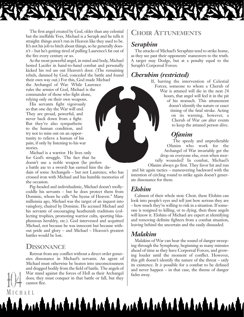The first angel created by God, older than any celestial but the ineffable Yves, Michael is a Seraph and he tells it straight: things aren't run in Heaven like they used to be. It's not his job to bitch about things, so he generally doesn't – but he's getting tired of pulling Laurence's fat out of the fire every century or so.

As the most powerful angel, in mind and body, Michael bested Lucifer in hand-to-hand combat and personally kicked his red ass out Heaven's door. (The remaining rebels, damned by God, conceded the battle and found their own way out.) For this, God made Michael

the Archangel of War. While Laurence rules the armies of God, Michael is the commander of those who fight alone, relying only on their own weapons.

His servants fight vigorously so that one day the War will end. They are proud, powerful, and never back down from a fight. But they're also sympathetic to the human condition, and try not to miss out on an opportunity to relieve a human of his pain, if only by listening to his war stories.

Michael is a warrior. He lives only for God's struggle. The fact that he doesn't use a noble weapon (he prefers

a battle axe to a sword) has earned him the disdain of some Archangels – but not Laurence, who has crossed iron with Michael and has humble memories of the occasion.

Pig-headed and individualistic, Michael doesn't mollycoddle his servants – but he does protect them from Dominic, whom he calls "the hyena of Heaven." Many millennia ago, Michael was the target of an inquest into vainglory, chaired by Dominic. He accused Michael and his servants of encouraging heathenish traditions (collecting trophies, promoting warrior cults, sporting blasphemous heraldry, etc.). God intervened and acquitted Michael, not because he was innocent but because without pride and glory – and Michael – Heaven's greatest battles would be lost.

# **DISSONANCE**

Retreat from any conflict without a direct order generates dissonance in Michael's servants. An agent of Michael must otherwise be beaten into unconsciousness and dragged bodily from the field of battle. The angels of War stand against the forces of Hell as their Archangel does; they must conquer in that battle or fall, but they cannot flee. War stand against the forces of Hell as their Archangel fades away.<br>does; they must conquer in that battle or fall, but they cannot flee

# **CHOIR ATTUNEMENTS**

# *Seraphim*

The attacks of Michael's Seraphim tend to strike home, as they see past their opponents' maneuvers to the truth. A target may Dodge, but at a penalty equal to the Seraph's Corporeal Forces.

# *Cherubim (restricted)*

If, barring the intervention of Celestial Forces, someone to whom a Cherub of War is attuned will die in the next 24 hours, that angel will feel it in the pit of his stomach. This attunement doesn't identify the nature or exact timing of the fatal stroke. Acting on its warning, however, a Cherub of War *can* alter events to keep the attuned person alive.

# *Ofanim*

The speedy and unpredictable Ofanim who work for the Archangel of War invariably get the drop on everyone else, even when mortally wounded! In combat, Michael's Ofanim always go first. They favor hit and run

and hit again tactics – maneuvering backward with the intention of circling round to strike again doesn't generate dissonance for them.

## *Elohim*

Calmest of their whole stoic Choir, these Elohim can look into people's eyes and tell just how serious they are – how much they're willing to risk in a situation. If someone is resigned to killing, or to dying, then these angels will know it. Elohim of Michael are expert at identifying and removing definite fighters from a combat situation, leaving behind the uncertain and the easily dissuaded.

# *Malakim*

<u>A matalatalitalatal matalatalitalatal ma</u>

Malakim of War can hear the sound of danger sweeping through the Symphony, beginning as many minutes ahead of time as they have Corporeal Forces, and growing louder until the moment of conflict. However, this gift doesn't identify the nature of the threat – only its existence. It *is* possible for a combat to be defused and never happen – in that case, the theme of danger

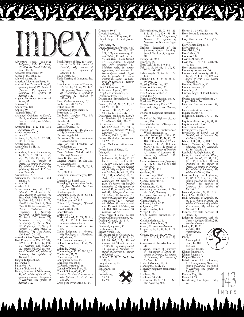

Adventure seeds, 132-142; *Judgment,* 135-137; *Stone,* 133-134; *the Sword,* 137-139; *War,* 140-142. Advocate attunement, 39. Alcove of the Table, 22. Allowed laxness, 68. American Libertarian Party, 34. Andrealphus, Prince of Lust, 66; *opinion of David,* 19; *opinion of Dominic,* 46; *opinion of Laurence,* 84; *opinion of Michael,* 111. Angela, Kyriotate Servitor of Stone, 97. Antaeos, 13. Apocalypse, 108. Appeals, 69. "Appeals Triad," 57. Archangel Opinions, *on David,*, 17-18; *on Dominic,* 45-46; *on Laurence,* 82-83; *on Michael,* 110-111. Armageddon, 112. See also *Apocalypse, the.* Armor attunement, 7. Arrests, 67. Artifacts, 13, 22, 24, 43, 62, 101, 115, 138-139. Artistry code, 61. Ashur-Nars-Pal II, 14. Asia, 87. Asmodeus, Prince of the Game, 37, 41, 42, 43, 48, 49, 50, 54, 59, 126, 133-134, 135, 136, 137, 140-142; *opinion of David,* 19; *opinion of Dominic,* 47; *opinion of Laurence,* 84; *opinion of Michael,* 112. See also *Game, the.* Associations, 25, 33.<br>Associations societies and Associations, societies, and gangs, 33. Assyria, 14. Atheists, 119.<br>Attunements, 69, 91, 122; *Advocate,* 39; *Armor,* 7; *the Blade Blessing of Laurence,* 73; *Blood Oath,* 105; *Brotherhood,* 8; *Choir,* 6-7, 37-38, 71-72, 104-105; *Cold Touch,* 8; *Deep Gaze,* 8; *Divine Absolution,* 73; *Gaze, 8; Drome Absortation,* 39;<br>Divine Mediation, 39;<br>Bigger Beavenly *Geomancy,* 8; *Heavenly Judgment,* 39; *Holy Fortitude,* 73; *Howl,* 105; *Hunt*, 73; *Incarnate Law,* 39; *Inevitability,* 9; *One to One,* 105; *Proficiency,* 105; *Purity of Purpose,* 73. *Rock Hard,* 9; *Scabbard,* 73; *Sure-Footed,* 106; *Uriel's,* 73, 102. Australia, *Uluru/Ayers Rock,* 22. Baal, Prince of the War, 12, 107, 109, 110, 114, 121, 137, 140- 142; *meetings with Michael,* 112; *opinion of David,* 19; *opinion of Dominic,* 47; *opinion of Laurence,* 84; *opinion of Michael,* 112. Badges, Judgment, 62. Balseraphs, 35. Baltimore, 15. Battle of Poitiers, 81, 82. Beleth, Princess of Nightmares, 69. 108. 98.

32, 42; *opinion of David,* 19; *opinion of Dominic,* 47; *opinion of Laurence,* 84; *opinion of Michael,* 112.

Belial, Prince of Fire, 137; *opinion of David,* 19; *opinion of Dominic,* 47; *opinion of Laurence,* 84; *opinion of Michael,* 112. Black Death, 42. Blade Blessing of Laurence, the,<br>73: 73; Blandine, Archangel of Dreams, 32, 42, 45, 54, 92, 98, 127, 130; *opinion of David,* 17; *opin-ion of Dominic,* 45; *opinion of Laurence,* 82; *opinion of Michael,* 110. Blood Oath attunement, 105. Bodhisattva, 78, 93, 95. British Isles, 30. Brotherhood attunement, 8. Byzantium, 75, 79. Cambodia, *Angkor Wat,* 87; *Phnom Penh,* 87. Canada, 31. Cardinal Virtues, 86. Castle of Purity, 75. Catacombs, 21-23, 26, 29, 31, 34; *Catacomb-dwellers* 21. Catholic angels, 80. Catholicism, 97. See also *Roman Catholic Church.* Cave of the Freedom of Reflection, 22. Cave of Transformation, 23. Cave Where Wind Walks Through Stones, 22. Caver Brotherhood, 34. Caverns, David's, 115. See also *Catacombs, the.* Celestial Tribunal, 48, 55, 56, 58, Celts, 30, 118. Champion/hero archetype, 107, Changdu Go Board, 120. Changing Superiors, *from David,* 32; *from Dominic,* 54; *from Laurence,* 101. Charlemagne, 81. Cherubim, 6, 26, 38, 48, 52, 54, 71, 94, 104, 123. Children, souls of, 117. China, 30; *Changdu, Qinghai Province,* 120. Chivalry, 81, 88, 91. Chocolate, 64. Christ, 34, 77. Christianity, 45, 71, 78, 79, 81, 82, 86, 92, 111. See also *Roman Catholic Church.* Church of the Sword, the, 86- 87. Codes, Judgment, 61; *Artistry,* 61; *Handsigns,* 61; *Shorthand,* 61; *Singing,* 61. Cold Touch attunement, 8. Colonel distinction, 74, 91, 95, Colorado, *Denver,* 79. Community, 6, 12, 20, 28-29, 32. Confession, 52, 73. Constantinople, 79. Contiguous Karsts, 34. Corporeal combat, 8. "Coward's weapons," 16. Council of Nicea, First, 79. Council Spires, 46, 48, 95. Creation, *Servitors of in service to other Superiors,* 33, 55, 95. See also *Eli.* Cross-gender variants, 88, 114.

Cryptic Isopods, 22. Curtis, Angel of Etiquette, 96. Daniel, Angel of Final Justice, 51. Dark Ages, 75. David, Archangel of Stone, 5-35, 75, 82, 107, 114, 115, 117, 121, 123; *and humanity,* 12; *and Gabriel,* 17; *and Laurence,* 95; *and Marc,* 18; *and Michael,* 17, 130; *history,* 12; *legends and holy mysteries,* 13; *Malakite oaths,* 16; *names, appearance, and manner,* 11; *personality and outlook,* 14; *politics,* 17; *priorities,* 17; *role in creating the Earth,* 12; *varia-tions,* 20; *vessels,* 6, 11; *views on the War,* 17. David's Chessboard, 23. de Bergerac, Cyrano, 117. Deep Gaze attunement, 8. Descent of Feoras, 23.<br>Diamantine Brotherhood See Diamantine Brotherhood. See *Unyielding.* Discord, 13, 32, 38, 52, 56, 65, 69, 91, 100, 101. Dissonance, 38, 56, 65, 66, 91, 92, 100, 101, 130-131. Dissonance conditions, *David's,* 6; *Dominic's,* 37; *Laurence's,* 71; *Michael's,* 104, 130-131. Distinctions, 69, 100; *Obsolete/retired,* 74, 90; *of David,* 9; *of Dominic,* 39-40; *of Laurence,* 73, 74, 95; *of Michael,* 106, 116, 118. Divine Absolution attunement, 73, 92, 100. Divine Mediation attunement, 39. Divine Right of Kings, 80. Djinn, 49.<br>Dominic, Dominic, Archangel of Judgment, 32, 36-69, 75, 82, 86, 101, 102, 115, 116, 117, 118, 119, 124, 126, 128, 130; *and Eli,* 44, 58; *and Gabriel,* 44, 56, 108; *and Janus,* 45, 56; *and Michael,* 44, 48, 56, 109, 130, 131; *Cathedral,* 48, 51; *cloak,* 43; *Chancery,* 48; *Dominique,* 50; *failures,* 43; *goals,* 44; *history,* 41; *Lucifer's temptation of,* 41; *opinion on undead,* 47; *personality and outlook,* 41; *philosophy of the War,* 43; *politics,* 44; *priorities,* 43; *rumors of conspiracy with Uriel,* 108; *secrets,* 42, 43; *successes,* 43; *Tethers,* 48; *trainee servi-tors,* 55; *trial of Michael,* 44, 48, 104, 108; *variations,* 50; *views on God,* 42. Doxas, Angel of Glory, 117, 118. Dreamwalking attunement, 92. Dueling Ground, 115, 117. Duels, 100, 117, 131. Duties of Judgment, 53. Earthquakes, 11. Eighth Virtue, 136. Eli, Archangel of Creation, 12, 15, 22, 33, 40, 45, 54, 55, 65, 95, 99, 107, 117, 130; *and Dominic,* 44, 58; *and Laurence,* 77, 82, 101; *opinion of David,* 18; *opinion of Dominic,* 45; *opinion of Laurence,* 83; *opinion of Michael,* 110. Elohim, 7, 27, 38, 52, 54, 71, 94, 104, 124. Enlightenment, 80. Envy, 66. Espionage, see *Spies.* Eternal City, 75, 78, 86, 98.

<u>ana lahan lahan lahan andan lahan lahan andan l</u>

Crusades, 80, 87.

Ethereal spirits, 23, 92, 98, 113, 114, 118, 119, 129, 138-139; *opinion of David,* 20; *opinion of Dominic,* 47; *opinion of Laurence,* 86. See also *Pagan* gods.<br>Etecius, Seneschal of the Supreme Court Building, Seraph Servitor of Judgment, 48. Europe, 76, 80, 81. Exorcists, 86. ExtraTech Vision, 140-142. Fall, 12, 15, 16, 41, 48, 50, 52, 57, 63, 64, 107. Fallen angels, 60, 65, 121, 122, 129. Falling, 44, 53, 57, 64, 65, 66, 67, 69, 101, 122. Feasting Tables, the, 117. Finger of Oblivion, 135. First Gemstones, the, 24. First Stone of Amber, 24. Flood, the, 57. Formulas of Confession, the, 52. Fortitude, Word of, 13. France, *Normandy Beach,* 120. Free Will, *Angels,* 76; *Humans,* 78. Friend of Judgment distinction, 39. Friend of the Fighters distinction, 106. Friend of the Lord's Troops distinction, 73. Friend of the Subterranean World distinction, 9. Gabriel, Archangel of Fire, 12, 15, 17, 32, 40, 43, 54, 80, 107, 109, 130; *and David,* 17; *and Dominic,* 44, 56, 108; *and Islam,* 44, 80, 111; *opinion of David,* 18; *opinion of Dominic,* 45; *opinion of Laurence,* 83; *opinion of Michael,* 110, *Volcano,* 108. Game, *cooperation with Judgment,* 42, 53, 55, 61, 66. See also *Asmodeus.* Gangs, 25, 33, 121. Garduna, 51. Garrison duty, 98-99. General distinction, 74, 91, 98. General Records, 49. Georgia, 133. Geomancers, 30, 31. Geomancy attunement, 8. See also *Skills, Geomancy.* Germany, *Nuremberg,* 48, 49; *Wittenberg,* 76. Ghranavijñana, 31. Gibraltar, Rock of, 22. Gilgamesh, 107. Glade, Novalis', 123. "Gog," 13-14. Grand Master distinction, 74, 91, 96. Granite Madams, 34. Great Wall of China, 22. Greed, 66. See also *Mammon.* Grigori, 9, 12, 13, 30, 42, 43, 66,  $69.$  Groves, the, 22, 23, 29, 95, 97, Groves, the, 22, 23, 29, 95, 97, 98, 100, 115, 117, 118, 123, 125. Guardians of the Marches, 92, 98. Haagenti, Prince of Gluttony, 64, 66; *opinion of David,* 19; *opinion of Dominic,* 47; *opinion of Laurence,* 85; *opinion of Michael,* 112. Halls of Worship, 78, 86. Handsigns, 53, 61, 64. Heavenly Judgment attunement, 39. Hellborn, 30. Hellforce, 140-142. Hellsworn, 44, 47, 54, 141. See also *Soldiers of Hell.*

Heresy, 51, 53, 66, 110. Holy Fortitude attunement, 73,  $92$ Holy Orders. See *Orders of the Sword.* Holy Roman Empire, 81. Holy Spirit, 78. Holy Trinity, 78. Holy Vehm, 51. Horatius, 107. Hosein, Ahmad, 35. Host, the, 41, 45, 48, 75, 81, 91, 99, 102. Howl attunement, 105. Humanity attunement, 54. Humans and humanity, 20, 30, 47, 51, 85, 113, 118, 119; *and angels of War,* 119; *Blessed Humans,* 51. Hundred Years War, 80. Hunt attunement, 73. Hunt duty, 99. Hutriel, Angel of Final Justice, 51. Hwang-ung (ethereal spirit), 23. Impact Tether, 24. Incarnate Law attunement, 39, 54. Inevitability attunement, 9. Inquiry rooms, 48. Inquisition, Divine, 37, 43, 48, 58. Inquisitor distinction, 39, 51, 54. Inquisitors, 48, 50, 60. Intervention, Divine, 31. Investigative tactics, 65. Invocation, *of David,* 10; *of Dominic,* 40; *of Laurence,* 74; *of Michael,* 106. Islam, 44, 80, 81, 82, 108, 119. Israel, *Church of the Holy Sepulchre,* 86, 87; *Jerusalem,* 80, 86; *Masada,* 22. Istanbul, 87; *Hagia Sophia,* 87. Janus, Archangel of the Wind, 35, 45, 54, 66, 82, 91, 100, 101, 115, 117, 123, 130; *and Dominic,* 45, 56; *opinion of David,* 17; *opinion of Dominic,* 45; *opinion of Laurence,* 83; *opinion of Michael,* 110. Jean, Archangel of Lightning, 45, 82, 116, 117, 130, 137; *opinion of David,* 18; *opinion of Dominic,* 45; *opinion of Laurence,* 83; *opinion of Michael,* 110. Jews and Judaism, 79, 111, 119. Joan of Arc, 80, 88, 114. Jordi, Archangel of Animals, 45, 58, 130; *opinion of David,* 18; *opinion of Dominic,* 46; *opinion of Laurence,* 83; *opinion of Michael,* 111. Joshiro, Kyriotate Servitor of Stone, 34. Judgment, *Cooperation with the Game,* 42, 61; *the Word of,* 43. See also *Dominic.* Justice, 43, 49, 51; *and War,* 109; *Napoleonic code of,* 60. Khalid, Archangel of Faith, 14, 101, 102; *and Laurence,* 81, 82. Khmer Empire, 87. Khmer Rouge, 87. Knights Templar, 51. Kobal, Prince of Dark Humor, 134, 139; *opinion of David,* 19; *opinion of Dominic,* 47; *opinion of Laurence,* 85; *opinion of Michael,* 112. Kocabas Cay, 120. Korea, 23, 79. Korea, 23, 79.<br>Korea, 23, 79.<br>Koriel, Angel of Equal Truth, **I NDEX**